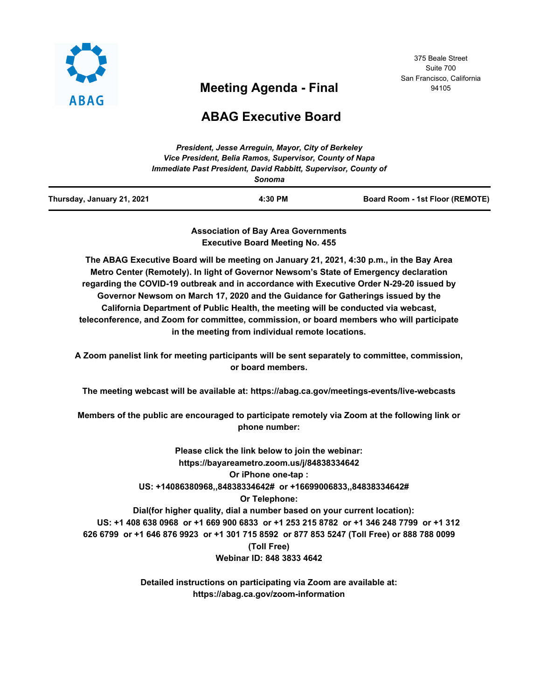

# **Meeting Agenda - Final**

375 Beale Street Suite 700 San Francisco, California 94105

# **ABAG Executive Board**

|                            | Sonoma  |                                 |
|----------------------------|---------|---------------------------------|
| Thursday, January 21, 2021 | 4:30 PM | Board Room - 1st Floor (REMOTE) |

**Association of Bay Area Governments Executive Board Meeting No. 455**

**The ABAG Executive Board will be meeting on January 21, 2021, 4:30 p.m., in the Bay Area Metro Center (Remotely). In light of Governor Newsom's State of Emergency declaration regarding the COVID-19 outbreak and in accordance with Executive Order N-29-20 issued by Governor Newsom on March 17, 2020 and the Guidance for Gatherings issued by the California Department of Public Health, the meeting will be conducted via webcast, teleconference, and Zoom for committee, commission, or board members who will participate in the meeting from individual remote locations.**

**A Zoom panelist link for meeting participants will be sent separately to committee, commission, or board members.**

**The meeting webcast will be available at: https://abag.ca.gov/meetings-events/live-webcasts**

**Members of the public are encouraged to participate remotely via Zoom at the following link or phone number:**

**Please click the link below to join the webinar: https://bayareametro.zoom.us/j/84838334642 Or iPhone one-tap : US: +14086380968,,84838334642# or +16699006833,,84838334642# Or Telephone: Dial(for higher quality, dial a number based on your current location): US: +1 408 638 0968 or +1 669 900 6833 or +1 253 215 8782 or +1 346 248 7799 or +1 312 626 6799 or +1 646 876 9923 or +1 301 715 8592 or 877 853 5247 (Toll Free) or 888 788 0099 (Toll Free) Webinar ID: 848 3833 4642**

> **Detailed instructions on participating via Zoom are available at: https://abag.ca.gov/zoom-information**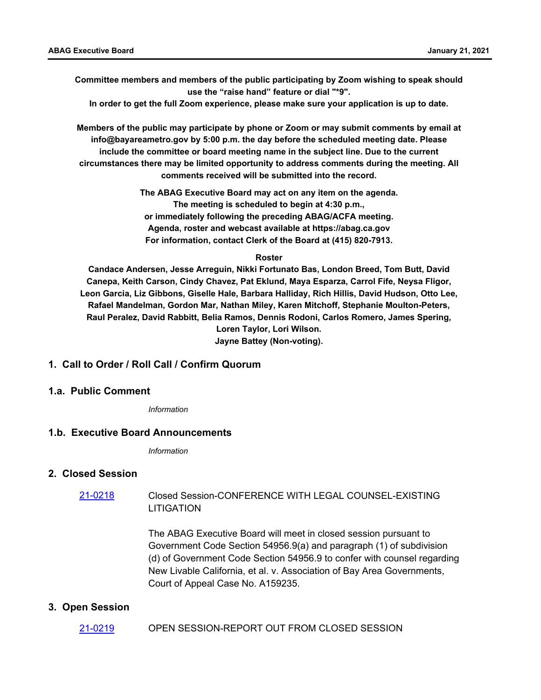**Committee members and members of the public participating by Zoom wishing to speak should use the "raise hand" feature or dial "\*9".**

**In order to get the full Zoom experience, please make sure your application is up to date.**

**Members of the public may participate by phone or Zoom or may submit comments by email at info@bayareametro.gov by 5:00 p.m. the day before the scheduled meeting date. Please include the committee or board meeting name in the subject line. Due to the current circumstances there may be limited opportunity to address comments during the meeting. All comments received will be submitted into the record.**

> **The ABAG Executive Board may act on any item on the agenda. The meeting is scheduled to begin at 4:30 p.m., or immediately following the preceding ABAG/ACFA meeting. Agenda, roster and webcast available at https://abag.ca.gov For information, contact Clerk of the Board at (415) 820-7913.**

#### **Roster**

**Candace Andersen, Jesse Arreguin, Nikki Fortunato Bas, London Breed, Tom Butt, David Canepa, Keith Carson, Cindy Chavez, Pat Eklund, Maya Esparza, Carrol Fife, Neysa Fligor, Leon Garcia, Liz Gibbons, Giselle Hale, Barbara Halliday, Rich Hillis, David Hudson, Otto Lee, Rafael Mandelman, Gordon Mar, Nathan Miley, Karen Mitchoff, Stephanie Moulton-Peters, Raul Peralez, David Rabbitt, Belia Ramos, Dennis Rodoni, Carlos Romero, James Spering, Loren Taylor, Lori Wilson. Jayne Battey (Non-voting).**

## **1. Call to Order / Roll Call / Confirm Quorum**

#### **1.a. Public Comment**

*Information*

#### **1.b. Executive Board Announcements**

*Information*

#### **2. Closed Session**

#### Closed Session-CONFERENCE WITH LEGAL COUNSEL-EXISTING **LITIGATION** [21-0218](http://mtc.legistar.com/gateway.aspx?m=l&id=/matter.aspx?key=21811)

The ABAG Executive Board will meet in closed session pursuant to Government Code Section 54956.9(a) and paragraph (1) of subdivision (d) of Government Code Section 54956.9 to confer with counsel regarding New Livable California, et al. v. Association of Bay Area Governments, Court of Appeal Case No. A159235.

#### **3. Open Session**

## [21-0219](http://mtc.legistar.com/gateway.aspx?m=l&id=/matter.aspx?key=21812) OPEN SESSION-REPORT OUT FROM CLOSED SESSION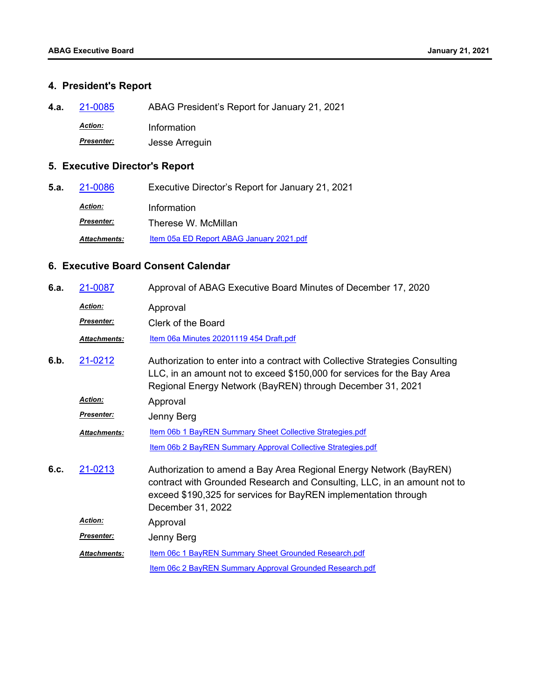## **4. President's Report**

**4.a.** [21-0085](http://mtc.legistar.com/gateway.aspx?m=l&id=/matter.aspx?key=21678) ABAG President's Report for January 21, 2021

*Action:* Information

*Presenter:* Jesse Arreguin

## **5. Executive Director's Report**

**5.a.** [21-0086](http://mtc.legistar.com/gateway.aspx?m=l&id=/matter.aspx?key=21679) Executive Director's Report for January 21, 2021 *Action:* Information *Presenter:* Therese W. McMillan Attachments: [Item 05a ED Report ABAG January 2021.pdf](http://mtc.legistar.com/gateway.aspx?M=F&ID=7853e97a-3b6e-41b1-8320-15f3e99bf0ee.pdf)

## **6. Executive Board Consent Calendar**

| 6.a. | 21-0087             | Approval of ABAG Executive Board Minutes of December 17, 2020                                                                                                                                                                          |
|------|---------------------|----------------------------------------------------------------------------------------------------------------------------------------------------------------------------------------------------------------------------------------|
|      | Action:             | Approval                                                                                                                                                                                                                               |
|      | <b>Presenter:</b>   | Clerk of the Board                                                                                                                                                                                                                     |
|      | <b>Attachments:</b> | Item 06a Minutes 20201119 454 Draft.pdf                                                                                                                                                                                                |
| 6.b. | 21-0212             | Authorization to enter into a contract with Collective Strategies Consulting<br>LLC, in an amount not to exceed \$150,000 for services for the Bay Area<br>Regional Energy Network (BayREN) through December 31, 2021                  |
|      | Action:             | Approval                                                                                                                                                                                                                               |
|      | <b>Presenter:</b>   | Jenny Berg                                                                                                                                                                                                                             |
|      | <b>Attachments:</b> | Item 06b 1 BayREN Summary Sheet Collective Strategies.pdf                                                                                                                                                                              |
|      |                     | Item 06b 2 BayREN Summary Approval Collective Strategies.pdf                                                                                                                                                                           |
| 6.c. | 21-0213             | Authorization to amend a Bay Area Regional Energy Network (BayREN)<br>contract with Grounded Research and Consulting, LLC, in an amount not to<br>exceed \$190,325 for services for BayREN implementation through<br>December 31, 2022 |
|      | <b>Action:</b>      | Approval                                                                                                                                                                                                                               |
|      | <b>Presenter:</b>   | Jenny Berg                                                                                                                                                                                                                             |
|      | <b>Attachments:</b> | Item 06c 1 BayREN Summary Sheet Grounded Research.pdf                                                                                                                                                                                  |
|      |                     | Item 06c 2 BayREN Summary Approval Grounded Research.pdf                                                                                                                                                                               |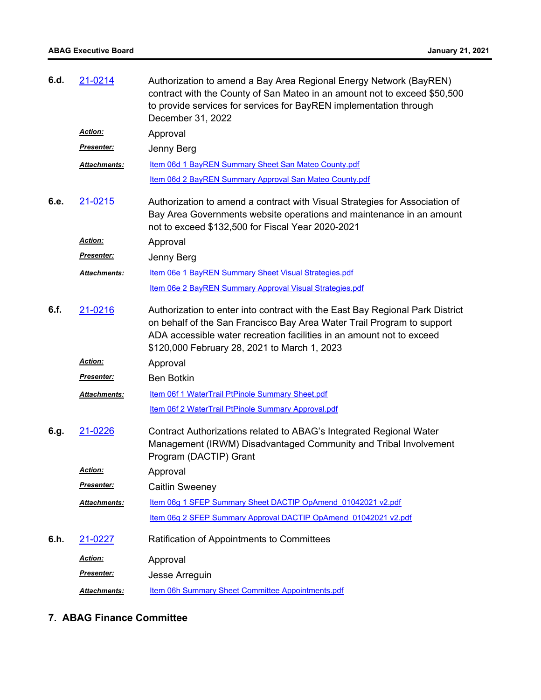## **ABAG Executive Board January 21, 2021**

| 6.d. | 21-0214             | Authorization to amend a Bay Area Regional Energy Network (BayREN)<br>contract with the County of San Mateo in an amount not to exceed \$50,500<br>to provide services for services for BayREN implementation through<br>December 31, 2022                                       |
|------|---------------------|----------------------------------------------------------------------------------------------------------------------------------------------------------------------------------------------------------------------------------------------------------------------------------|
|      | <b>Action:</b>      | Approval                                                                                                                                                                                                                                                                         |
|      | <b>Presenter:</b>   | Jenny Berg                                                                                                                                                                                                                                                                       |
|      | Attachments:        | Item 06d 1 BayREN Summary Sheet San Mateo County.pdf                                                                                                                                                                                                                             |
|      |                     | Item 06d 2 BayREN Summary Approval San Mateo County.pdf                                                                                                                                                                                                                          |
| 6.e. | 21-0215             | Authorization to amend a contract with Visual Strategies for Association of<br>Bay Area Governments website operations and maintenance in an amount<br>not to exceed \$132,500 for Fiscal Year 2020-2021                                                                         |
|      | Action:             | Approval                                                                                                                                                                                                                                                                         |
|      | <u>Presenter:</u>   | Jenny Berg                                                                                                                                                                                                                                                                       |
|      | Attachments:        | Item 06e 1 BayREN Summary Sheet Visual Strategies.pdf                                                                                                                                                                                                                            |
|      |                     | Item 06e 2 BayREN Summary Approval Visual Strategies.pdf                                                                                                                                                                                                                         |
| 6.f. | 21-0216             | Authorization to enter into contract with the East Bay Regional Park District<br>on behalf of the San Francisco Bay Area Water Trail Program to support<br>ADA accessible water recreation facilities in an amount not to exceed<br>\$120,000 February 28, 2021 to March 1, 2023 |
|      | Action:             | Approval                                                                                                                                                                                                                                                                         |
|      | <b>Presenter:</b>   | <b>Ben Botkin</b>                                                                                                                                                                                                                                                                |
|      | Attachments:        | Item 06f 1 WaterTrail PtPinole Summary Sheet.pdf                                                                                                                                                                                                                                 |
|      |                     | Item 06f 2 WaterTrail PtPinole Summary Approval.pdf                                                                                                                                                                                                                              |
| 6.g. | 21-0226             | Contract Authorizations related to ABAG's Integrated Regional Water<br>Management (IRWM) Disadvantaged Community and Tribal Involvement<br>Program (DACTIP) Grant                                                                                                                |
|      | <u>Action:</u>      | Approval                                                                                                                                                                                                                                                                         |
|      | <b>Presenter:</b>   | <b>Caitlin Sweeney</b>                                                                                                                                                                                                                                                           |
|      | <b>Attachments:</b> | Item 06g 1 SFEP Summary Sheet DACTIP OpAmend 01042021 v2.pdf                                                                                                                                                                                                                     |
|      |                     | Item 06g 2 SFEP Summary Approval DACTIP OpAmend 01042021 v2.pdf                                                                                                                                                                                                                  |
| 6.h. | 21-0227             | Ratification of Appointments to Committees                                                                                                                                                                                                                                       |
|      | Action:             | Approval                                                                                                                                                                                                                                                                         |
|      | Presenter:          | Jesse Arreguin                                                                                                                                                                                                                                                                   |
|      | Attachments:        | Item 06h Summary Sheet Committee Appointments.pdf                                                                                                                                                                                                                                |

## **7. ABAG Finance Committee**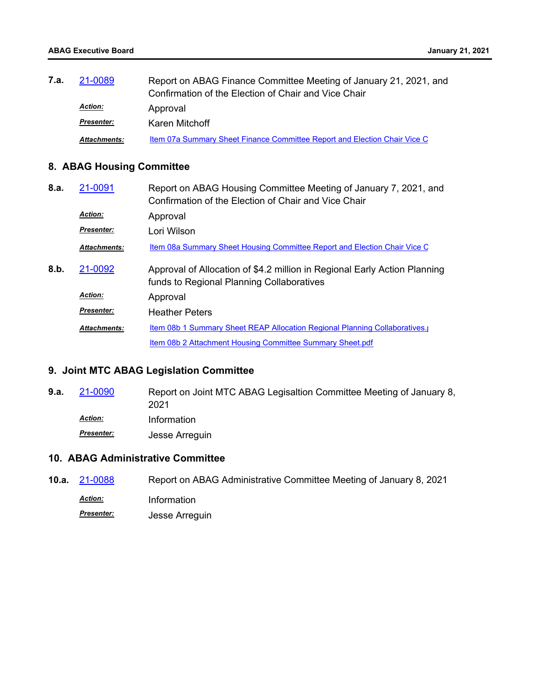| 7.a. | 21-0089             | Report on ABAG Finance Committee Meeting of January 21, 2021, and<br>Confirmation of the Election of Chair and Vice Chair |
|------|---------------------|---------------------------------------------------------------------------------------------------------------------------|
|      | <b>Action:</b>      | Approval                                                                                                                  |
|      | <b>Presenter:</b>   | Karen Mitchoff                                                                                                            |
|      | <b>Attachments:</b> | Item 07a Summary Sheet Finance Committee Report and Election Chair Vice C                                                 |

## **8. ABAG Housing Committee**

| 8.a. | 21-0091             | Report on ABAG Housing Committee Meeting of January 7, 2021, and<br>Confirmation of the Election of Chair and Vice Chair |
|------|---------------------|--------------------------------------------------------------------------------------------------------------------------|
|      | <b>Action:</b>      | Approval                                                                                                                 |
|      | <b>Presenter:</b>   | Lori Wilson                                                                                                              |
|      | <b>Attachments:</b> | Item 08a Summary Sheet Housing Committee Report and Election Chair Vice C                                                |
| 8.b. | 21-0092             | Approval of Allocation of \$4.2 million in Regional Early Action Planning<br>funds to Regional Planning Collaboratives   |
|      | <b>Action:</b>      | Approval                                                                                                                 |
|      | <b>Presenter:</b>   | <b>Heather Peters</b>                                                                                                    |
|      | <b>Attachments:</b> | Item 08b 1 Summary Sheet REAP Allocation Regional Planning Collaboratives.                                               |
|      |                     | Item 08b 2 Attachment Housing Committee Summary Sheet.pdf                                                                |

## **9. Joint MTC ABAG Legislation Committee**

Report on Joint MTC ABAG Legisaltion Committee Meeting of January 8, 2021 **9.a.** [21-0090](http://mtc.legistar.com/gateway.aspx?m=l&id=/matter.aspx?key=21683) *Action:* Information *Presenter:* Jesse Arreguin

## **10. ABAG Administrative Committee**

**10.a.** [21-0088](http://mtc.legistar.com/gateway.aspx?m=l&id=/matter.aspx?key=21681) Report on ABAG Administrative Committee Meeting of January 8, 2021 *Action:* Information *Presenter:* Jesse Arreguin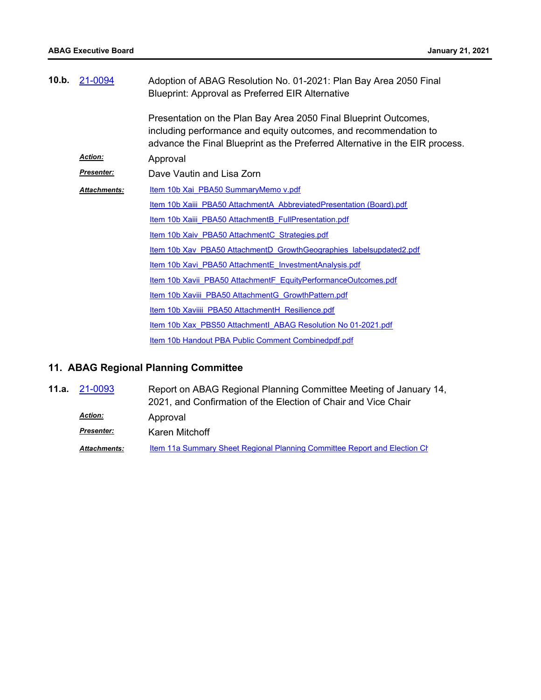| 10.b. | 21-0094             | Adoption of ABAG Resolution No. 01-2021: Plan Bay Area 2050 Final<br><b>Blueprint: Approval as Preferred EIR Alternative</b>                                                                                         |
|-------|---------------------|----------------------------------------------------------------------------------------------------------------------------------------------------------------------------------------------------------------------|
|       |                     | Presentation on the Plan Bay Area 2050 Final Blueprint Outcomes,<br>including performance and equity outcomes, and recommendation to<br>advance the Final Blueprint as the Preferred Alternative in the EIR process. |
|       | <b>Action:</b>      | Approval                                                                                                                                                                                                             |
|       | <b>Presenter:</b>   | Dave Vautin and Lisa Zorn                                                                                                                                                                                            |
|       | <b>Attachments:</b> | Item 10b Xai PBA50 SummaryMemo v.pdf                                                                                                                                                                                 |
|       |                     | Item 10b Xaiii PBA50 AttachmentA AbbreviatedPresentation (Board).pdf                                                                                                                                                 |
|       |                     | Item 10b Xaiii PBA50 AttachmentB FullPresentation.pdf                                                                                                                                                                |
|       |                     | Item 10b Xaiv PBA50 AttachmentC Strategies.pdf                                                                                                                                                                       |
|       |                     | Item 10b Xav PBA50 AttachmentD GrowthGeographies labelsupdated2.pdf                                                                                                                                                  |
|       |                     | Item 10b Xavi PBA50 AttachmentE InvestmentAnalysis.pdf                                                                                                                                                               |
|       |                     | Item 10b Xavii PBA50 AttachmentF EquityPerformanceOutcomes.pdf                                                                                                                                                       |
|       |                     | Item 10b Xaviii PBA50 AttachmentG GrowthPattern.pdf                                                                                                                                                                  |
|       |                     | Item 10b Xaviiii PBA50 AttachmentH Resilience.pdf                                                                                                                                                                    |
|       |                     | Item 10b Xax PBS50 Attachmentl ABAG Resolution No 01-2021.pdf                                                                                                                                                        |
|       |                     | Item 10b Handout PBA Public Comment Combinedpdf.pdf                                                                                                                                                                  |

# **11. ABAG Regional Planning Committee**

| 11.a. | 21-0093           | Report on ABAG Regional Planning Committee Meeting of January 14,         |
|-------|-------------------|---------------------------------------------------------------------------|
|       |                   | 2021, and Confirmation of the Election of Chair and Vice Chair            |
|       | <b>Action:</b>    | Approval                                                                  |
|       | <b>Presenter:</b> | Karen Mitchoff                                                            |
|       | Attachments:      | Item 11a Summary Sheet Regional Planning Committee Report and Election Ch |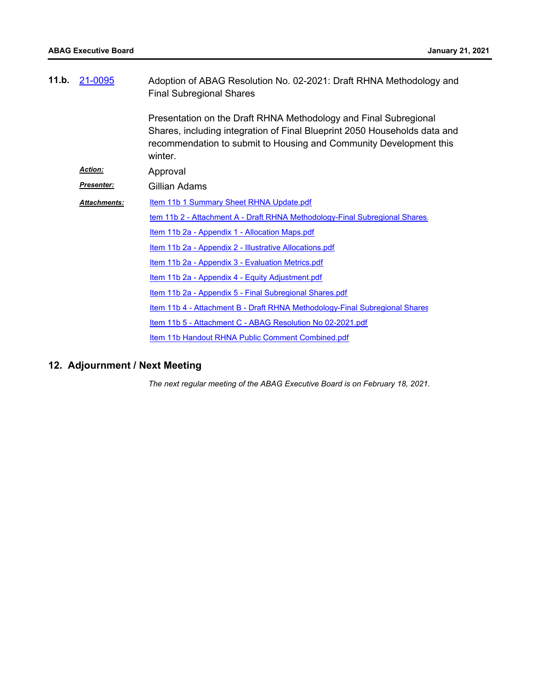| 11.b. | 21-0095             | Adoption of ABAG Resolution No. 02-2021: Draft RHNA Methodology and<br><b>Final Subregional Shares</b>                                                                                                                         |
|-------|---------------------|--------------------------------------------------------------------------------------------------------------------------------------------------------------------------------------------------------------------------------|
|       |                     | Presentation on the Draft RHNA Methodology and Final Subregional<br>Shares, including integration of Final Blueprint 2050 Households data and<br>recommendation to submit to Housing and Community Development this<br>winter. |
|       | <b>Action:</b>      | Approval                                                                                                                                                                                                                       |
|       | <b>Presenter:</b>   | Gillian Adams                                                                                                                                                                                                                  |
|       | <b>Attachments:</b> | Item 11b 1 Summary Sheet RHNA Update.pdf                                                                                                                                                                                       |
|       |                     | tem 11b 2 - Attachment A - Draft RHNA Methodology-Final Subregional Shares.                                                                                                                                                    |
|       |                     | <u>Item 11b 2a - Appendix 1 - Allocation Maps.pdf</u>                                                                                                                                                                          |
|       |                     | Item 11b 2a - Appendix 2 - Illustrative Allocations.pdf                                                                                                                                                                        |
|       |                     | <u>Item 11b 2a - Appendix 3 - Evaluation Metrics.pdf</u>                                                                                                                                                                       |
|       |                     | <u>Item 11b 2a - Appendix 4 - Equity Adjustment.pdf</u>                                                                                                                                                                        |
|       |                     | Item 11b 2a - Appendix 5 - Final Subregional Shares.pdf                                                                                                                                                                        |
|       |                     | Item 11b 4 - Attachment B - Draft RHNA Methodology-Final Subregional Shares                                                                                                                                                    |
|       |                     | Item 11b 5 - Attachment C - ABAG Resolution No 02-2021.pdf                                                                                                                                                                     |
|       |                     | Item 11b Handout RHNA Public Comment Combined.pdf                                                                                                                                                                              |

## **12. Adjournment / Next Meeting**

*The next regular meeting of the ABAG Executive Board is on February 18, 2021.*